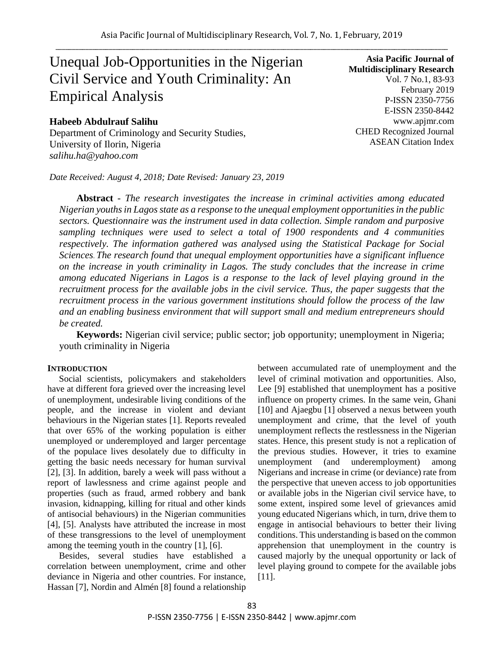# Unequal Job-Opportunities in the Nigerian Civil Service and Youth Criminality: An Empirical Analysis

#### **Habeeb Abdulrauf Salihu**

Department of Criminology and Security Studies, University of Ilorin, Nigeria *salihu.ha@yahoo.com*

*Date Received: August 4, 2018; Date Revised: January 23, 2019*

**Asia Pacific Journal of Multidisciplinary Research** Vol. 7 No.1, 83-93 February 2019 P-ISSN 2350-7756 E-ISSN 2350-8442 www.apjmr.com CHED Recognized Journal ASEAN Citation Index

**Abstract** - *The research investigates the increase in criminal activities among educated Nigerian youths in Lagos state as a response to the unequal employment opportunities in the public sectors. Questionnaire was the instrument used in data collection. Simple random and purposive sampling techniques were used to select a total of 1900 respondents and 4 communities respectively. The information gathered was analysed using the Statistical Package for Social Sciences*. *The research found that unequal employment opportunities have a significant influence on the increase in youth criminality in Lagos. The study concludes that the increase in crime among educated Nigerians in Lagos is a response to the lack of level playing ground in the recruitment process for the available jobs in the civil service. Thus, the paper suggests that the recruitment process in the various government institutions should follow the process of the law and an enabling business environment that will support small and medium entrepreneurs should be created.*

**Keywords:** Nigerian civil service; public sector; job opportunity; unemployment in Nigeria; youth criminality in Nigeria

#### **INTRODUCTION**

Social scientists, policymakers and stakeholders have at different fora grieved over the increasing level of unemployment, undesirable living conditions of the people, and the increase in violent and deviant behaviours in the Nigerian states [1]. Reports revealed that over 65% of the working population is either unemployed or underemployed and larger percentage of the populace lives desolately due to difficulty in getting the basic needs necessary for human survival [2], [3]. In addition, barely a week will pass without a report of lawlessness and crime against people and properties (such as fraud, armed robbery and bank invasion, kidnapping, killing for ritual and other kinds of antisocial behaviours) in the Nigerian communities [4], [5]. Analysts have attributed the increase in most of these transgressions to the level of unemployment among the teeming youth in the country [1], [6].

Besides, several studies have established a correlation between unemployment, crime and other deviance in Nigeria and other countries. For instance, Hassan [7], Nordin and Almén [8] found a relationship between accumulated rate of unemployment and the level of criminal motivation and opportunities. Also, Lee [9] established that unemployment has a positive influence on property crimes. In the same vein, Ghani [10] and Ajaegbu [1] observed a nexus between youth unemployment and crime, that the level of youth unemployment reflects the restlessness in the Nigerian states. Hence, this present study is not a replication of the previous studies. However, it tries to examine unemployment (and underemployment) among Nigerians and increase in crime (or deviance) rate from the perspective that uneven access to job opportunities or available jobs in the Nigerian civil service have, to some extent, inspired some level of grievances amid young educated Nigerians which, in turn, drive them to engage in antisocial behaviours to better their living conditions. This understanding is based on the common apprehension that unemployment in the country is caused majorly by the unequal opportunity or lack of level playing ground to compete for the available jobs [11].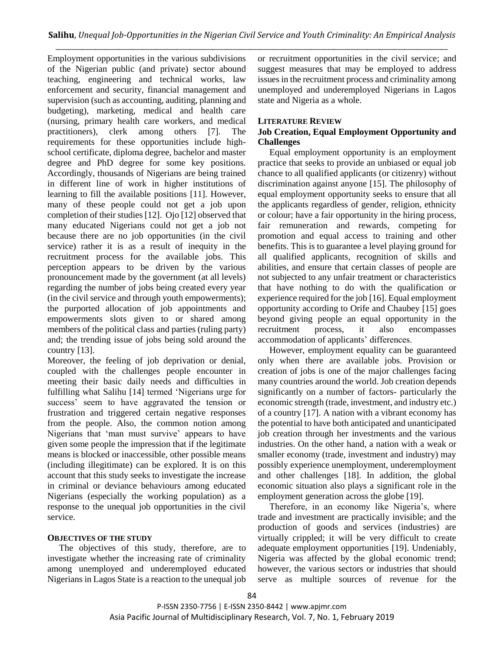Employment opportunities in the various subdivisions of the Nigerian public (and private) sector abound teaching, engineering and technical works, law enforcement and security, financial management and supervision (such as accounting, auditing, planning and budgeting), marketing, medical and health care (nursing, primary health care workers, and medical practitioners), clerk among others [7]. The requirements for these opportunities include highschool certificate, diploma degree, bachelor and master degree and PhD degree for some key positions. Accordingly, thousands of Nigerians are being trained in different line of work in higher institutions of learning to fill the available positions [11]. However, many of these people could not get a job upon completion of their studies [12]. Ojo [12] observed that many educated Nigerians could not get a job not because there are no job opportunities (in the civil service) rather it is as a result of inequity in the recruitment process for the available jobs. This perception appears to be driven by the various pronouncement made by the government (at all levels) regarding the number of jobs being created every year (in the civil service and through youth empowerments); the purported allocation of job appointments and empowerments slots given to or shared among members of the political class and parties (ruling party) and; the trending issue of jobs being sold around the country [13].

Moreover, the feeling of job deprivation or denial, coupled with the challenges people encounter in meeting their basic daily needs and difficulties in fulfilling what Salihu [14] termed 'Nigerians urge for success' seem to have aggravated the tension or frustration and triggered certain negative responses from the people. Also, the common notion among Nigerians that 'man must survive' appears to have given some people the impression that if the legitimate means is blocked or inaccessible, other possible means (including illegitimate) can be explored. It is on this account that this study seeks to investigate the increase in criminal or deviance behaviours among educated Nigerians (especially the working population) as a response to the unequal job opportunities in the civil service.

## **OBJECTIVES OF THE STUDY**

The objectives of this study, therefore, are to investigate whether the increasing rate of criminality among unemployed and underemployed educated Nigerians in Lagos State is a reaction to the unequal job or recruitment opportunities in the civil service; and suggest measures that may be employed to address issues in the recruitment process and criminality among unemployed and underemployed Nigerians in Lagos state and Nigeria as a whole.

#### **LITERATURE REVIEW**

# **Job Creation, Equal Employment Opportunity and Challenges**

Equal employment opportunity is an employment practice that seeks to provide an unbiased or equal job chance to all qualified applicants (or citizenry) without discrimination against anyone [15]. The philosophy of equal employment opportunity seeks to ensure that all the applicants regardless of gender, religion, ethnicity or colour; have a fair opportunity in the hiring process, fair remuneration and rewards, competing for promotion and equal access to training and other benefits. This is to guarantee a level playing ground for all qualified applicants, recognition of skills and abilities, and ensure that certain classes of people are not subjected to any unfair treatment or characteristics that have nothing to do with the qualification or experience required for the job [16]. Equal employment opportunity according to Orife and Chaubey [15] goes beyond giving people an equal opportunity in the recruitment process, it also encompasses accommodation of applicants' differences.

However, employment equality can be guaranteed only when there are available jobs. Provision or creation of jobs is one of the major challenges facing many countries around the world. Job creation depends significantly on a number of factors- particularly the economic strength (trade, investment, and industry etc.) of a country [17]. A nation with a vibrant economy has the potential to have both anticipated and unanticipated job creation through her investments and the various industries. On the other hand, a nation with a weak or smaller economy (trade, investment and industry) may possibly experience unemployment, underemployment and other challenges [18]. In addition, the global economic situation also plays a significant role in the employment generation across the globe [19].

Therefore, in an economy like Nigeria's, where trade and investment are practically invisible; and the production of goods and services (industries) are virtually crippled; it will be very difficult to create adequate employment opportunities [19]. Undeniably, Nigeria was affected by the global economic trend; however, the various sectors or industries that should serve as multiple sources of revenue for the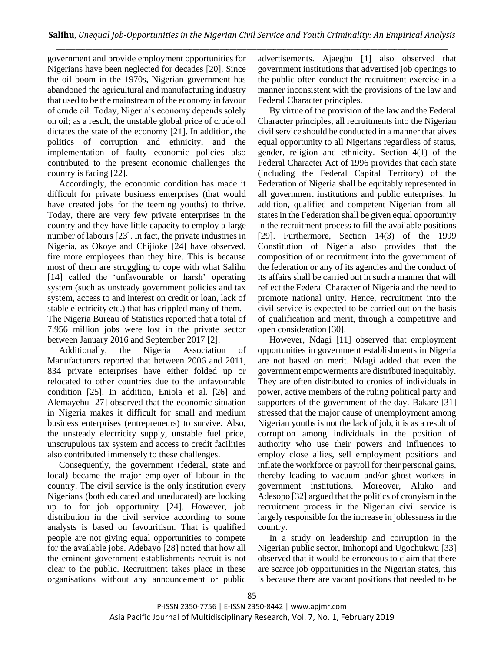government and provide employment opportunities for Nigerians have been neglected for decades [20]. Since the oil boom in the 1970s, Nigerian government has abandoned the agricultural and manufacturing industry that used to be the mainstream of the economy in favour of crude oil. Today, Nigeria's economy depends solely on oil; as a result, the unstable global price of crude oil dictates the state of the economy [21]. In addition, the politics of corruption and ethnicity, and the implementation of faulty economic policies also contributed to the present economic challenges the country is facing [22].

Accordingly, the economic condition has made it difficult for private business enterprises (that would have created jobs for the teeming youths) to thrive. Today, there are very few private enterprises in the country and they have little capacity to employ a large number of labours [23]. In fact, the private industries in Nigeria, as Okoye and Chijioke [24] have observed, fire more employees than they hire. This is because most of them are struggling to cope with what Salihu [14] called the 'unfavourable or harsh' operating system (such as unsteady government policies and tax system, access to and interest on credit or loan, lack of stable electricity etc.) that has crippled many of them. The Nigeria Bureau of Statistics reported that a total of

7.956 million jobs were lost in the private sector between January 2016 and September 2017 [2].

Additionally, the Nigeria Association of Manufacturers reported that between 2006 and 2011, 834 private enterprises have either folded up or relocated to other countries due to the unfavourable condition [25]. In addition, Eniola et al. [26] and Alemayehu [27] observed that the economic situation in Nigeria makes it difficult for small and medium business enterprises (entrepreneurs) to survive. Also, the unsteady electricity supply, unstable fuel price, unscrupulous tax system and access to credit facilities also contributed immensely to these challenges.

Consequently, the government (federal, state and local) became the major employer of labour in the country. The civil service is the only institution every Nigerians (both educated and uneducated) are looking up to for job opportunity [24]. However, job distribution in the civil service according to some analysts is based on favouritism. That is qualified people are not giving equal opportunities to compete for the available jobs. Adebayo [28] noted that how all the eminent government establishments recruit is not clear to the public. Recruitment takes place in these organisations without any announcement or public advertisements. Ajaegbu [1] also observed that government institutions that advertised job openings to the public often conduct the recruitment exercise in a manner inconsistent with the provisions of the law and Federal Character principles.

By virtue of the provision of the law and the Federal Character principles, all recruitments into the Nigerian civil service should be conducted in a manner that gives equal opportunity to all Nigerians regardless of status, gender, religion and ethnicity. Section 4(1) of the Federal Character Act of 1996 provides that each state (including the Federal Capital Territory) of the Federation of Nigeria shall be equitably represented in all government institutions and public enterprises. In addition, qualified and competent Nigerian from all states in the Federation shall be given equal opportunity in the recruitment process to fill the available positions [29]. Furthermore, Section 14(3) of the 1999 Constitution of Nigeria also provides that the composition of or recruitment into the government of the federation or any of its agencies and the conduct of its affairs shall be carried out in such a manner that will reflect the Federal Character of Nigeria and the need to promote national unity. Hence, recruitment into the civil service is expected to be carried out on the basis of qualification and merit, through a competitive and open consideration [30].

However, Ndagi [11] observed that employment opportunities in government establishments in Nigeria are not based on merit. Ndagi added that even the government empowerments are distributed inequitably. They are often distributed to cronies of individuals in power, active members of the ruling political party and supporters of the government of the day. Bakare [31] stressed that the major cause of unemployment among Nigerian youths is not the lack of job, it is as a result of corruption among individuals in the position of authority who use their powers and influences to employ close allies, sell employment positions and inflate the workforce or payroll for their personal gains, thereby leading to vacuum and/or ghost workers in government institutions. Moreover, Aluko and Adesopo [32] argued that the politics of cronyism in the recruitment process in the Nigerian civil service is largely responsible for the increase in joblessness in the country.

In a study on leadership and corruption in the Nigerian public sector, Imhonopi and Ugochukwu [33] observed that it would be erroneous to claim that there are scarce job opportunities in the Nigerian states, this is because there are vacant positions that needed to be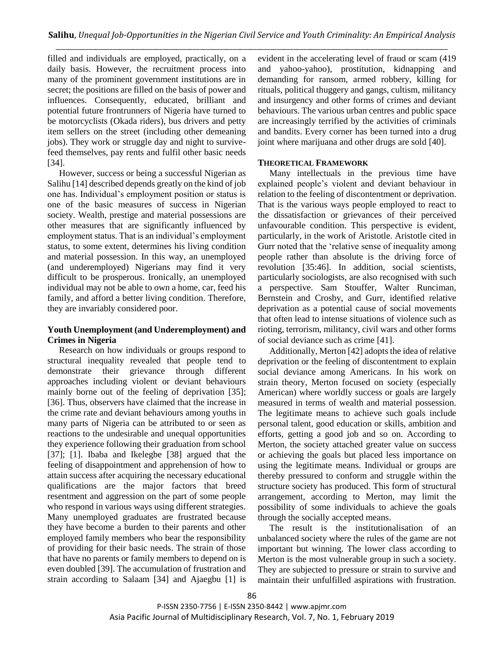filled and individuals are employed, practically, on a daily basis. However, the recruitment process into many of the prominent government institutions are in secret; the positions are filled on the basis of power and influences. Consequently, educated, brilliant and potential future frontrunners of Nigeria have turned to be motorcyclists (Okada riders), bus drivers and petty item sellers on the street (including other demeaning jobs). They work or struggle day and night to survivefeed themselves, pay rents and fulfil other basic needs [34].

However, success or being a successful Nigerian as Salihu [14] described depends greatly on the kind of job one has. Individual's employment position or status is one of the basic measures of success in Nigerian society. Wealth, prestige and material possessions are other measures that are significantly influenced by employment status. That is an individual's employment status, to some extent, determines his living condition and material possession. In this way, an unemployed (and underemployed) Nigerians may find it very difficult to be prosperous. Ironically, an unemployed individual may not be able to own a home, car, feed his family, and afford a better living condition. Therefore, they are invariably considered poor.

# **Youth Unemployment (and Underemployment) and Crimes in Nigeria**

Research on how individuals or groups respond to structural inequality revealed that people tend to demonstrate their grievance through different approaches including violent or deviant behaviours mainly borne out of the feeling of deprivation [35]; [36]. Thus, observers have claimed that the increase in the crime rate and deviant behaviours among youths in many parts of Nigeria can be attributed to or seen as reactions to the undesirable and unequal opportunities they experience following their graduation from school [37]; [1]. Ibaba and Ikelegbe [38] argued that the feeling of disappointment and apprehension of how to attain success after acquiring the necessary educational qualifications are the major factors that breed resentment and aggression on the part of some people who respond in various ways using different strategies. Many unemployed graduates are frustrated because they have become a burden to their parents and other employed family members who bear the responsibility of providing for their basic needs. The strain of those that have no parents or family members to depend on is even doubled [39]. The accumulation of frustration and strain according to Salaam [34] and Ajaegbu [1] is evident in the accelerating level of fraud or scam (419 and yahoo-yahoo), prostitution, kidnapping and demanding for ransom, armed robbery, killing for rituals, political thuggery and gangs, cultism, militancy and insurgency and other forms of crimes and deviant behaviours. The various urban centres and public space are increasingly terrified by the activities of criminals and bandits. Every corner has been turned into a drug joint where marijuana and other drugs are sold [40].

# **THEORETICAL FRAMEWORK**

Many intellectuals in the previous time have explained people's violent and deviant behaviour in relation to the feeling of discontentment or deprivation. That is the various ways people employed to react to the dissatisfaction or grievances of their perceived unfavourable condition. This perspective is evident, particularly, in the work of Aristotle. Aristotle cited in Gurr noted that the 'relative sense of inequality among people rather than absolute is the driving force of revolution [35:46]. In addition, social scientists, particularly sociologists, are also recognised with such a perspective. Sam Stouffer, Walter Runciman, Bernstein and Crosby, and Gurr, identified relative deprivation as a potential cause of social movements that often lead to intense situations of violence such as rioting, terrorism, militancy, civil wars and other forms of social deviance such as crime [41].

Additionally, Merton [42] adopts the idea of relative deprivation or the feeling of discontentment to explain social deviance among Americans. In his work on strain theory, Merton focused on society (especially American) where worldly success or goals are largely measured in terms of wealth and material possession. The legitimate means to achieve such goals include personal talent, good education or skills, ambition and efforts, getting a good job and so on. According to Merton, the society attached greater value on success or achieving the goals but placed less importance on using the legitimate means. Individual or groups are thereby pressured to conform and struggle within the structure society has produced. This form of structural arrangement, according to Merton, may limit the possibility of some individuals to achieve the goals through the socially accepted means.

The result is the institutionalisation of an unbalanced society where the rules of the game are not important but winning. The lower class according to Merton is the most vulnerable group in such a society. They are subjected to pressure or strain to survive and maintain their unfulfilled aspirations with frustration.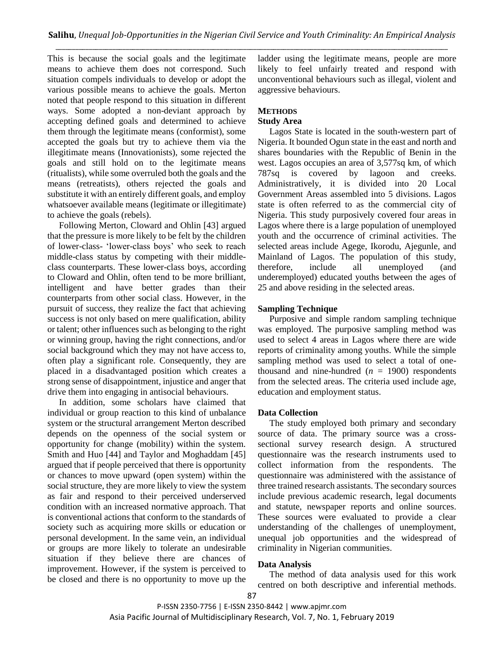This is because the social goals and the legitimate means to achieve them does not correspond. Such situation compels individuals to develop or adopt the various possible means to achieve the goals. Merton noted that people respond to this situation in different ways. Some adopted a non-deviant approach by accepting defined goals and determined to achieve them through the legitimate means (conformist), some accepted the goals but try to achieve them via the illegitimate means (Innovationists), some rejected the goals and still hold on to the legitimate means (ritualists), while some overruled both the goals and the means (retreatists), others rejected the goals and substitute it with an entirely different goals, and employ whatsoever available means (legitimate or illegitimate) to achieve the goals (rebels).

Following Merton, Cloward and Ohlin [43] argued that the pressure is more likely to be felt by the children of lower-class- 'lower-class boys' who seek to reach middle-class status by competing with their middleclass counterparts. These lower-class boys, according to Cloward and Ohlin, often tend to be more brilliant, intelligent and have better grades than their counterparts from other social class. However, in the pursuit of success, they realize the fact that achieving success is not only based on mere qualification, ability or talent; other influences such as belonging to the right or winning group, having the right connections, and/or social background which they may not have access to, often play a significant role. Consequently, they are placed in a disadvantaged position which creates a strong sense of disappointment, injustice and anger that drive them into engaging in antisocial behaviours.

In addition, some scholars have claimed that individual or group reaction to this kind of unbalance system or the structural arrangement Merton described depends on the openness of the social system or opportunity for change (mobility) within the system. Smith and Huo [44] and Taylor and Moghaddam [45] argued that if people perceived that there is opportunity or chances to move upward (open system) within the social structure, they are more likely to view the system as fair and respond to their perceived underserved condition with an increased normative approach. That is conventional actions that conform to the standards of society such as acquiring more skills or education or personal development. In the same vein, an individual or groups are more likely to tolerate an undesirable situation if they believe there are chances of improvement. However, if the system is perceived to be closed and there is no opportunity to move up the ladder using the legitimate means, people are more likely to feel unfairly treated and respond with unconventional behaviours such as illegal, violent and aggressive behaviours.

# **METHODS**

# **Study Area**

Lagos State is located in the south-western part of Nigeria. It bounded Ogun state in the east and north and shares boundaries with the Republic of Benin in the west. Lagos occupies an area of 3,577sq km, of which 787sq is covered by lagoon and creeks. Administratively, it is divided into 20 Local Government Areas assembled into 5 divisions. Lagos state is often referred to as the commercial city of Nigeria. This study purposively covered four areas in Lagos where there is a large population of unemployed youth and the occurrence of criminal activities. The selected areas include Agege, Ikorodu, Ajegunle, and Mainland of Lagos. The population of this study, therefore, include all unemployed (and underemployed) educated youths between the ages of 25 and above residing in the selected areas.

## **Sampling Technique**

Purposive and simple random sampling technique was employed. The purposive sampling method was used to select 4 areas in Lagos where there are wide reports of criminality among youths. While the simple sampling method was used to select a total of onethousand and nine-hundred  $(n = 1900)$  respondents from the selected areas. The criteria used include age, education and employment status.

## **Data Collection**

The study employed both primary and secondary source of data. The primary source was a crosssectional survey research design. A structured questionnaire was the research instruments used to collect information from the respondents. The questionnaire was administered with the assistance of three trained research assistants. The secondary sources include previous academic research, legal documents and statute, newspaper reports and online sources. These sources were evaluated to provide a clear understanding of the challenges of unemployment, unequal job opportunities and the widespread of criminality in Nigerian communities.

## **Data Analysis**

The method of data analysis used for this work centred on both descriptive and inferential methods.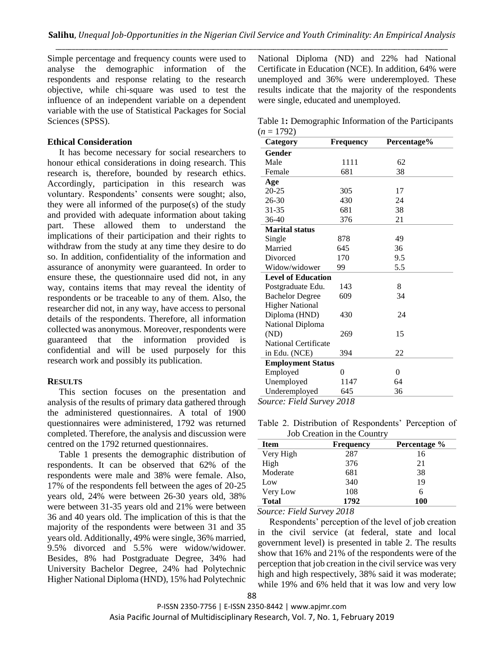Simple percentage and frequency counts were used to analyse the demographic information of the respondents and response relating to the research objective, while chi-square was used to test the influence of an independent variable on a dependent variable with the use of Statistical Packages for Social Sciences (SPSS).

#### **Ethical Consideration**

It has become necessary for social researchers to honour ethical considerations in doing research. This research is, therefore, bounded by research ethics. Accordingly, participation in this research was voluntary. Respondents' consents were sought; also, they were all informed of the purpose(s) of the study and provided with adequate information about taking part. These allowed them to understand the implications of their participation and their rights to withdraw from the study at any time they desire to do so. In addition, confidentiality of the information and assurance of anonymity were guaranteed. In order to ensure these, the questionnaire used did not, in any way, contains items that may reveal the identity of respondents or be traceable to any of them. Also, the researcher did not, in any way, have access to personal details of the respondents. Therefore, all information collected was anonymous. Moreover, respondents were guaranteed that the information provided is confidential and will be used purposely for this research work and possibly its publication.

#### **RESULTS**

This section focuses on the presentation and analysis of the results of primary data gathered through the administered questionnaires. A total of 1900 questionnaires were administered, 1792 was returned completed. Therefore, the analysis and discussion were centred on the 1792 returned questionnaires.

Table 1 presents the demographic distribution of respondents. It can be observed that 62% of the respondents were male and 38% were female. Also, 17% of the respondents fell between the ages of 20-25 years old, 24% were between 26-30 years old, 38% were between 31-35 years old and 21% were between 36 and 40 years old. The implication of this is that the majority of the respondents were between 31 and 35 years old. Additionally, 49% were single, 36% married, 9.5% divorced and 5.5% were widow/widower. Besides, 8% had Postgraduate Degree, 34% had University Bachelor Degree, 24% had Polytechnic Higher National Diploma (HND), 15% had Polytechnic National Diploma (ND) and 22% had National Certificate in Education (NCE). In addition, 64% were unemployed and 36% were underemployed. These results indicate that the majority of the respondents were single, educated and unemployed.

Table 1**:** Demographic Information of the Participants  $(n = 1792)$ 

| Category                  | <b>Frequency</b> | Percentage%    |
|---------------------------|------------------|----------------|
| Gender                    |                  |                |
| Male                      | 1111             | 62             |
| Female                    | 681              | 38             |
| Age                       |                  |                |
| $20 - 25$                 | 305              | 17             |
| 26-30                     | 430              | 24             |
| 31-35                     | 681              | 38             |
| 36-40                     | 376              | 21             |
| <b>Marital status</b>     |                  |                |
| Single                    | 878              | 49             |
| Married                   | 645              | 36             |
| Divorced                  | 170              | 9.5            |
| Widow/widower             | 99               | 5.5            |
| <b>Level of Education</b> |                  |                |
| Postgraduate Edu.         | 143              | 8              |
| <b>Bachelor Degree</b>    | 609              | 34             |
| <b>Higher National</b>    |                  |                |
| Diploma (HND)             | 430              | 24             |
| National Diploma          |                  |                |
| (ND)                      | 269              | 15             |
| National Certificate      |                  |                |
| in Edu. (NCE)             | 394              | 22             |
| <b>Employment Status</b>  |                  |                |
| Employed                  | 0                | $\overline{0}$ |
| Unemployed                | 1147             | 64             |
| Underemployed             | 645              | 36             |

*Source: Field Survey 2018*

Table 2. Distribution of Respondents' Perception of Job Creation in the Country

| $1000$ Crown 0.11 in the County of |                  |              |  |
|------------------------------------|------------------|--------------|--|
| Item                               | <b>Frequency</b> | Percentage % |  |
| Very High                          | 287              | 16           |  |
| High                               | 376              | 21           |  |
| Moderate                           | 681              | 38           |  |
| Low                                | 340              | 19           |  |
| Very Low                           | 108              | h            |  |
| <b>Total</b>                       | 1792             | 100          |  |

*Source: Field Survey 2018*

Respondents' perception of the level of job creation in the civil service (at federal, state and local government level) is presented in table 2. The results show that 16% and 21% of the respondents were of the perception that job creation in the civil service was very high and high respectively, 38% said it was moderate; while 19% and 6% held that it was low and very low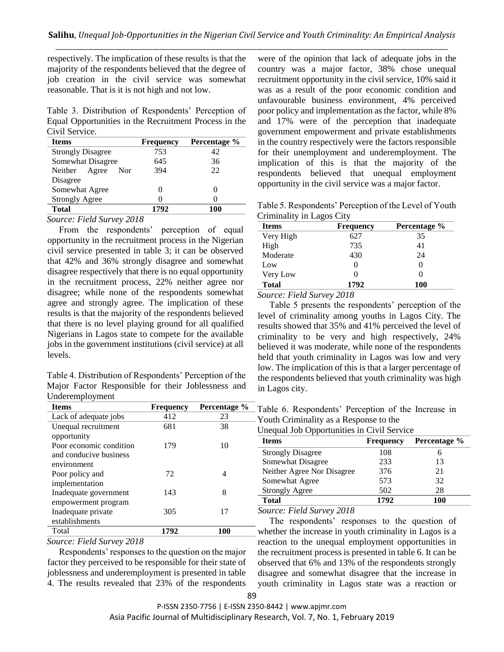respectively. The implication of these results is that the majority of the respondents believed that the degree of job creation in the civil service was somewhat reasonable. That is it is not high and not low.

Table 3. Distribution of Respondents' Perception of Equal Opportunities in the Recruitment Process in the Civil Service.

| <b>Items</b>             | <b>Frequency</b> | Percentage % |
|--------------------------|------------------|--------------|
| <b>Strongly Disagree</b> | 753              | 42           |
| Somewhat Disagree        | 645              | 36           |
| Neither Agree<br>Nor     | 394              | 22           |
| Disagree                 |                  |              |
| Somewhat Agree           |                  |              |
| <b>Strongly Agree</b>    | 0                |              |
| <b>Total</b>             | 1792             | 100          |

#### *Source: Field Survey 2018*

From the respondents' perception of equal opportunity in the recruitment process in the Nigerian civil service presented in table 3; it can be observed that 42% and 36% strongly disagree and somewhat disagree respectively that there is no equal opportunity in the recruitment process, 22% neither agree nor disagree; while none of the respondents somewhat agree and strongly agree. The implication of these results is that the majority of the respondents believed that there is no level playing ground for all qualified Nigerians in Lagos state to compete for the available jobs in the government institutions (civil service) at all levels.

Table 4. Distribution of Respondents' Perception of the Major Factor Responsible for their Joblessness and Underemployment

| <b>Items</b>            | <b>Frequency</b> | Percentage % |
|-------------------------|------------------|--------------|
| Lack of adequate jobs   | 412              | 23           |
| Unequal recruitment     | 681              | 38           |
| opportunity             |                  |              |
| Poor economic condition | 179              | 10           |
| and conducive business  |                  |              |
| environment             |                  |              |
| Poor policy and         | 72               | 4            |
| implementation          |                  |              |
| Inadequate government   | 143              | 8            |
| empowerment program     |                  |              |
| Inadequate private      | 305              | 17           |
| establishments          |                  |              |
| Total                   | 1792             | 100          |
|                         |                  |              |

*Source: Field Survey 2018*

Respondents' responses to the question on the major factor they perceived to be responsible for their state of joblessness and underemployment is presented in table 4. The results revealed that 23% of the respondents

were of the opinion that lack of adequate jobs in the country was a major factor, 38% chose unequal recruitment opportunity in the civil service, 10% said it was as a result of the poor economic condition and unfavourable business environment, 4% perceived poor policy and implementation as the factor, while 8% and 17% were of the perception that inadequate government empowerment and private establishments in the country respectively were the factors responsible for their unemployment and underemployment. The implication of this is that the majority of the respondents believed that unequal employment opportunity in the civil service was a major factor.

Table 5. Respondents' Perception of the Level of Youth Criminality in Lagos City

| <b>Items</b> | <b>Frequency</b> | Percentage % |
|--------------|------------------|--------------|
| Very High    | 627              | 35           |
| High         | 735              | 41           |
| Moderate     | 430              | 24           |
| Low          |                  |              |
| Very Low     |                  |              |
| <b>Total</b> | 1792             | 100          |

*Source: Field Survey 2018*

Table 5 presents the respondents' perception of the level of criminality among youths in Lagos City. The results showed that 35% and 41% perceived the level of criminality to be very and high respectively, 24% believed it was moderate, while none of the respondents held that youth criminality in Lagos was low and very low. The implication of this is that a larger percentage of the respondents believed that youth criminality was high in Lagos city.

Table 6. Respondents' Perception of the Increase in Youth Criminality as a Response to the

| <b>Items</b>               | <b>Frequency</b> | Percentage % |  |
|----------------------------|------------------|--------------|--|
| <b>Strongly Disagree</b>   | 108              | O            |  |
| Somewhat Disagree          | 233              | 13           |  |
| Neither Agree Nor Disagree | 376              | 21           |  |
| Somewhat Agree             | 573              | 32           |  |
| <b>Strongly Agree</b>      | 502              | 28           |  |
| Total                      | 1792             | 100          |  |

*Source: Field Survey 2018*

The respondents' responses to the question of whether the increase in youth criminality in Lagos is a reaction to the unequal employment opportunities in the recruitment process is presented in table 6. It can be observed that 6% and 13% of the respondents strongly disagree and somewhat disagree that the increase in youth criminality in Lagos state was a reaction or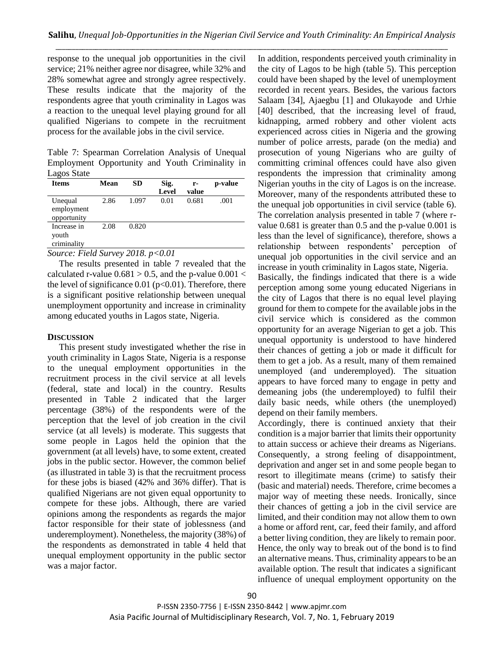response to the unequal job opportunities in the civil service; 21% neither agree nor disagree, while 32% and 28% somewhat agree and strongly agree respectively. These results indicate that the majority of the respondents agree that youth criminality in Lagos was a reaction to the unequal level playing ground for all qualified Nigerians to compete in the recruitment process for the available jobs in the civil service.

Table 7: Spearman Correlation Analysis of Unequal Employment Opportunity and Youth Criminality in Lagos State

| <b>Items</b>                         | Mean | <b>SD</b> | Sig.<br><b>Level</b> | r-<br>value | p-value |
|--------------------------------------|------|-----------|----------------------|-------------|---------|
| Unequal<br>employment<br>opportunity | 2.86 | 1.097     | 0.01                 | 0.681       | .001    |
| Increase in<br>youth<br>criminality  | 2.08 | 0.820     |                      |             |         |

*Source: Field Survey 2018. p<0.01*

The results presented in table 7 revealed that the calculated r-value  $0.681 > 0.5$ , and the p-value  $0.001 <$ the level of significance  $0.01$  ( $p<0.01$ ). Therefore, there is a significant positive relationship between unequal unemployment opportunity and increase in criminality among educated youths in Lagos state, Nigeria.

## **DISCUSSION**

This present study investigated whether the rise in youth criminality in Lagos State, Nigeria is a response to the unequal employment opportunities in the recruitment process in the civil service at all levels (federal, state and local) in the country. Results presented in Table 2 indicated that the larger percentage (38%) of the respondents were of the perception that the level of job creation in the civil service (at all levels) is moderate. This suggests that some people in Lagos held the opinion that the government (at all levels) have, to some extent, created jobs in the public sector. However, the common belief (as illustrated in table 3) is that the recruitment process for these jobs is biased (42% and 36% differ). That is qualified Nigerians are not given equal opportunity to compete for these jobs. Although, there are varied opinions among the respondents as regards the major factor responsible for their state of joblessness (and underemployment). Nonetheless, the majority (38%) of the respondents as demonstrated in table 4 held that unequal employment opportunity in the public sector was a major factor.

In addition, respondents perceived youth criminality in the city of Lagos to be high (table 5). This perception could have been shaped by the level of unemployment recorded in recent years. Besides, the various factors Salaam [34], Ajaegbu [1] and Olukayode and Urhie [40] described, that the increasing level of fraud, kidnapping, armed robbery and other violent acts experienced across cities in Nigeria and the growing number of police arrests, parade (on the media) and prosecution of young Nigerians who are guilty of committing criminal offences could have also given respondents the impression that criminality among Nigerian youths in the city of Lagos is on the increase. Moreover, many of the respondents attributed these to the unequal job opportunities in civil service (table 6). The correlation analysis presented in table 7 (where rvalue 0.681 is greater than 0.5 and the p-value 0.001 is less than the level of significance), therefore, shows a relationship between respondents' perception of unequal job opportunities in the civil service and an increase in youth criminality in Lagos state, Nigeria.

Basically, the findings indicated that there is a wide perception among some young educated Nigerians in the city of Lagos that there is no equal level playing ground for them to compete for the available jobs in the civil service which is considered as the common opportunity for an average Nigerian to get a job. This unequal opportunity is understood to have hindered their chances of getting a job or made it difficult for them to get a job. As a result, many of them remained unemployed (and underemployed). The situation appears to have forced many to engage in petty and demeaning jobs (the underemployed) to fulfil their daily basic needs, while others (the unemployed) depend on their family members.

Accordingly, there is continued anxiety that their condition is a major barrier that limits their opportunity to attain success or achieve their dreams as Nigerians. Consequently, a strong feeling of disappointment, deprivation and anger set in and some people began to resort to illegitimate means (crime) to satisfy their (basic and material) needs. Therefore, crime becomes a major way of meeting these needs. Ironically, since their chances of getting a job in the civil service are limited, and their condition may not allow them to own a home or afford rent, car, feed their family, and afford a better living condition, they are likely to remain poor. Hence, the only way to break out of the bond is to find an alternative means. Thus, criminality appears to be an available option. The result that indicates a significant influence of unequal employment opportunity on the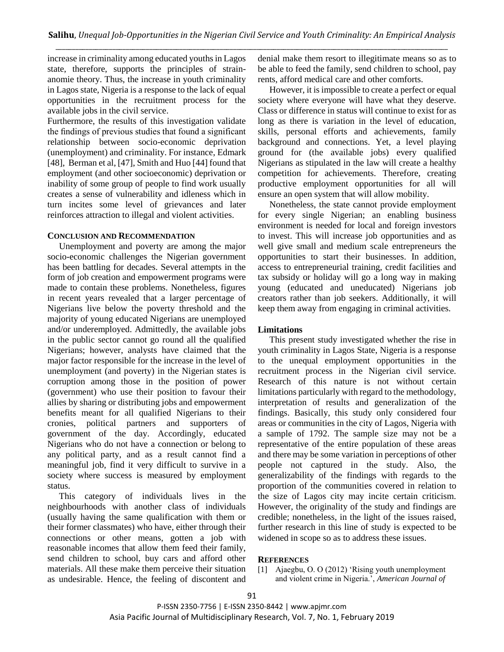increase in criminality among educated youths in Lagos state, therefore, supports the principles of strainanomie theory. Thus, the increase in youth criminality in Lagos state, Nigeria is a response to the lack of equal opportunities in the recruitment process for the available jobs in the civil service.

Furthermore, the results of this investigation validate the findings of previous studies that found a significant relationship between socio-economic deprivation (unemployment) and criminality. For instance, Edmark [48], Berman et al, [47], Smith and Huo [44] found that employment (and other socioeconomic) deprivation or inability of some group of people to find work usually creates a sense of vulnerability and idleness which in turn incites some level of grievances and later reinforces attraction to illegal and violent activities.

#### **CONCLUSION AND RECOMMENDATION**

Unemployment and poverty are among the major socio-economic challenges the Nigerian government has been battling for decades. Several attempts in the form of job creation and empowerment programs were made to contain these problems. Nonetheless, figures in recent years revealed that a larger percentage of Nigerians live below the poverty threshold and the majority of young educated Nigerians are unemployed and/or underemployed. Admittedly, the available jobs in the public sector cannot go round all the qualified Nigerians; however, analysts have claimed that the major factor responsible for the increase in the level of unemployment (and poverty) in the Nigerian states is corruption among those in the position of power (government) who use their position to favour their allies by sharing or distributing jobs and empowerment benefits meant for all qualified Nigerians to their cronies, political partners and supporters of government of the day. Accordingly, educated Nigerians who do not have a connection or belong to any political party, and as a result cannot find a meaningful job, find it very difficult to survive in a society where success is measured by employment status.

This category of individuals lives in the neighbourhoods with another class of individuals (usually having the same qualification with them or their former classmates) who have, either through their connections or other means, gotten a job with reasonable incomes that allow them feed their family, send children to school, buy cars and afford other materials. All these make them perceive their situation as undesirable. Hence, the feeling of discontent and denial make them resort to illegitimate means so as to be able to feed the family, send children to school, pay rents, afford medical care and other comforts.

However, it is impossible to create a perfect or equal society where everyone will have what they deserve. Class or difference in status will continue to exist for as long as there is variation in the level of education, skills, personal efforts and achievements, family background and connections. Yet, a level playing ground for (the available jobs) every qualified Nigerians as stipulated in the law will create a healthy competition for achievements. Therefore, creating productive employment opportunities for all will ensure an open system that will allow mobility.

Nonetheless, the state cannot provide employment for every single Nigerian; an enabling business environment is needed for local and foreign investors to invest. This will increase job opportunities and as well give small and medium scale entrepreneurs the opportunities to start their businesses. In addition, access to entrepreneurial training, credit facilities and tax subsidy or holiday will go a long way in making young (educated and uneducated) Nigerians job creators rather than job seekers. Additionally, it will keep them away from engaging in criminal activities.

# **Limitations**

This present study investigated whether the rise in youth criminality in Lagos State, Nigeria is a response to the unequal employment opportunities in the recruitment process in the Nigerian civil service. Research of this nature is not without certain limitations particularly with regard to the methodology, interpretation of results and generalization of the findings. Basically, this study only considered four areas or communities in the city of Lagos, Nigeria with a sample of 1792. The sample size may not be a representative of the entire population of these areas and there may be some variation in perceptions of other people not captured in the study. Also, the generalizability of the findings with regards to the proportion of the communities covered in relation to the size of Lagos city may incite certain criticism. However, the originality of the study and findings are credible; nonetheless, in the light of the issues raised, further research in this line of study is expected to be widened in scope so as to address these issues.

## **REFERENCES**

[1] Ajaegbu, O. O (2012) 'Rising youth unemployment and violent crime in Nigeria.', *American Journal of*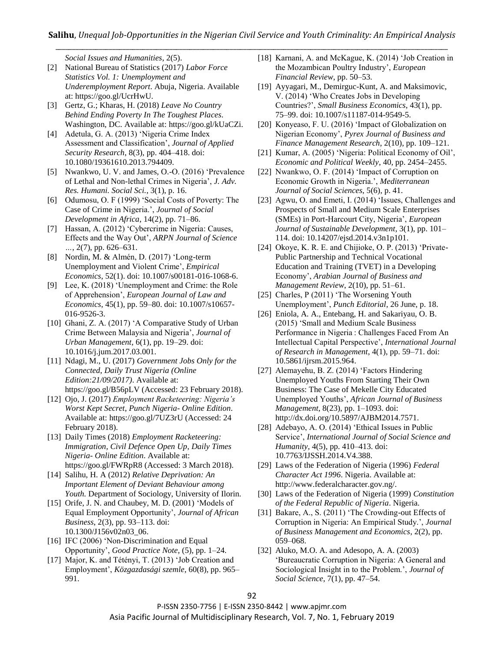*Social Issues and Humanities*, 2(5).

- [2] National Bureau of Statistics (2017) *Labor Force Statistics Vol. 1: Unemployment and Underemployment Report*. Abuja, Nigeria. Available at: https://goo.gl/UcrHwU.
- [3] Gertz, G.; Kharas, H. (2018) *Leave No Country Behind Ending Poverty In The Toughest Places*. Washington, DC. Available at: https://goo.gl/kUaCZi.
- [4] Adetula, G. A. (2013) 'Nigeria Crime Index Assessment and Classification', *Journal of Applied Security Research*, 8(3), pp. 404–418. doi: 10.1080/19361610.2013.794409.
- [5] Nwankwo, U. V. and James, O.-O. (2016) 'Prevalence of Lethal and Non-lethal Crimes in Nigeria', *J. Adv. Res. Humani. Social Sci.*, 3(1), p. 16.
- [6] Odumosu, O. F (1999) 'Social Costs of Poverty: The Case of Crime in Nigeria.', *Journal of Social Development in Africa*, 14(2), pp. 71–86.
- [7] Hassan, A. (2012) 'Cybercrime in Nigeria: Causes, Effects and the Way Out', *ARPN Journal of Science …*, 2(7), pp. 626–631.
- [8] Nordin, M. & Almén, D. (2017) 'Long-term Unemployment and Violent Crime', *Empirical Economics*, 52(1). doi: 10.1007/s00181-016-1068-6.
- [9] Lee, K. (2018) 'Unemployment and Crime: the Role of Apprehension', *European Journal of Law and Economics*, 45(1), pp. 59–80. doi: 10.1007/s10657- 016-9526-3.
- [10] Ghani, Z. A. (2017) 'A Comparative Study of Urban Crime Between Malaysia and Nigeria', *Journal of Urban Management*, 6(1), pp. 19–29. doi: 10.1016/j.jum.2017.03.001.
- [11] Ndagi, M., U. (2017) *Government Jobs Only for the Connected*, *Daily Trust Nigeria (Online Edition:21/09/2017)*. Available at: https://goo.gl/B56pLV (Accessed: 23 February 2018).
- [12] Ojo, J. (2017) *Employment Racketeering: Nigeria's Worst Kept Secret*, *Punch Nigeria- Online Edition*. Available at: https://goo.gl/7UZ3rU (Accessed: 24 February 2018).
- [13] Daily Times (2018) *Employment Racketeering: Immigration, Civil Defence Open Up*, *Daily Times Nigeria- Online Edition*. Available at: https://goo.gl/FWRpR8 (Accessed: 3 March 2018).
- [14] Salihu, H. A (2012) *Relative Deprivation: An Important Element of Deviant Behaviour among Youth.* Department of Sociology, University of Ilorin.
- [15] Orife, J. N. and Chaubey, M. D. (2001) 'Models of Equal Employment Opportunity', *Journal of African Business*, 2(3), pp. 93–113. doi: 10.1300/J156v02n03\_06.
- [16] IFC (2006) 'Non-Discrimination and Equal Opportunity', *Good Practice Note*, (5), pp. 1–24.
- [17] Major, K. and Tétényi, T. (2013) 'Job Creation and Employment', *Közgazdasági szemle*, 60(8), pp. 965– 991.
- [18] Karnani, A. and McKague, K. (2014) 'Job Creation in the Mozambican Poultry Industry', *European Financial Review*, pp. 50–53.
- [19] Ayyagari, M., Demirguc-Kunt, A. and Maksimovic, V. (2014) 'Who Creates Jobs in Developing Countries?', *Small Business Economics*, 43(1), pp. 75–99. doi: 10.1007/s11187-014-9549-5.
- [20] Konyeaso, F. U. (2016) 'Impact of Globalization on Nigerian Economy', *Pyrex Journal of Business and Finance Management Research*, 2(10), pp. 109–121.
- [21] Kumar, A. (2005) 'Nigeria: Political Economy of Oil', *Economic and Political Weekly*, 40, pp. 2454–2455.
- [22] Nwankwo, O. F. (2014) 'Impact of Corruption on Economic Growth in Nigeria.', *Mediterranean Journal of Social Sciences*, 5(6), p. 41.
- [23] Agwu, O. and Emeti, I. (2014) 'Issues, Challenges and Prospects of Small and Medium Scale Enterprises (SMEs) in Port-Harcourt City, Nigeria', *European Journal of Sustainable Development*, 3(1), pp. 101– 114. doi: 10.14207/ejsd.2014.v3n1p101.
- [24] Okoye, K. R. E. and Chijioke, O. P. (2013) 'Private-Public Partnership and Technical Vocational Education and Training (TVET) in a Developing Economy', *Arabian Journal of Business and Management Review*, 2(10), pp. 51–61.
- [25] Charles, P (2011) 'The Worsening Youth Unemployment', *Punch Editorial*, 26 June, p. 18.
- [26] Eniola, A. A., Entebang, H. and Sakariyau, O. B. (2015) 'Small and Medium Scale Business Performance in Nigeria : Challenges Faced From An Intellectual Capital Perspective', *International Journal of Research in Management*, 4(1), pp. 59–71. doi: 10.5861/ijrsm.2015.964.
- [27] Alemayehu, B. Z. (2014) 'Factors Hindering Unemployed Youths From Starting Their Own Business: The Case of Mekelle City Educated Unemployed Youths', *African Journal of Business Management*, 8(23), pp. 1–1093. doi: http://dx.doi.org/10.5897/AJBM2014.7571.
- [28] Adebayo, A. O. (2014) 'Ethical Issues in Public Service', *International Journal of Social Science and Humanity*, 4(5), pp. 410–413. doi: 10.7763/IJSSH.2014.V4.388.
- [29] Laws of the Federation of Nigeria (1996) *Federal Character Act 1996*. Nigeria. Available at: http://www.federalcharacter.gov.ng/.
- [30] Laws of the Federation of Nigeria (1999) *Constitution of the Federal Republic of Nigeria*. Nigeria.
- [31] Bakare, A., S. (2011) 'The Crowding-out Effects of Corruption in Nigeria: An Empirical Study.', *Journal of Business Management and Economics*, 2(2), pp. 059–068.
- [32] Aluko, M.O. A. and Adesopo, A. A. (2003) 'Bureaucratic Corruption in Nigeria: A General and Sociological Insight in to the Problem.', *Journal of Social Science*, 7(1), pp. 47–54.

P-ISSN 2350-7756 | E-ISSN 2350-8442 | www.apjmr.com Asia Pacific Journal of Multidisciplinary Research, Vol. 7, No. 1, February 2019